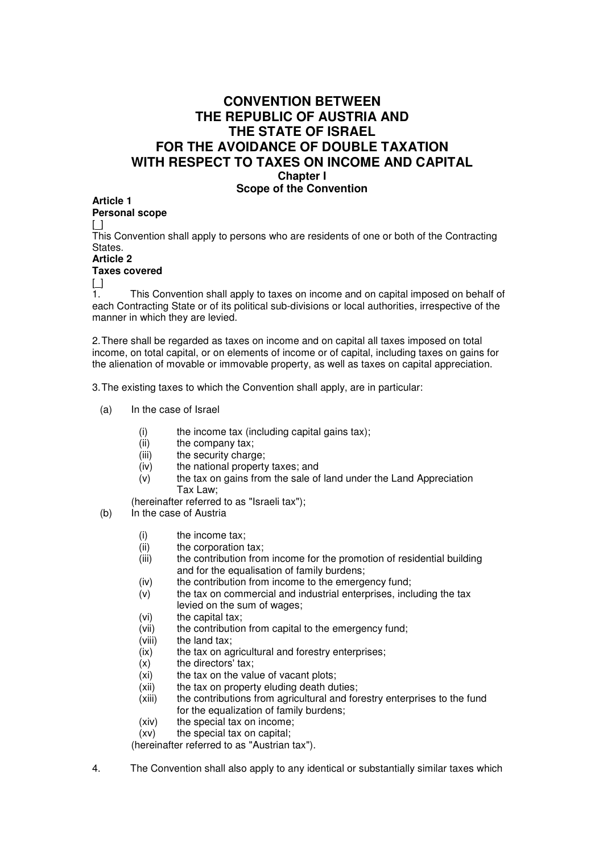# **CONVENTION BETWEEN THE REPUBLIC OF AUSTRIA AND THE STATE OF ISRAEL FOR THE AVOIDANCE OF DOUBLE TAXATION WITH RESPECT TO TAXES ON INCOME AND CAPITAL Chapter I Scope of the Convention**

### **Article 1 Personal scope**   $\lceil$   $\rceil$

This Convention shall apply to persons who are residents of one or both of the Contracting States.

#### **Article 2 Taxes covered**

 $\Box$ 

1. This Convention shall apply to taxes on income and on capital imposed on behalf of each Contracting State or of its political sub-divisions or local authorities, irrespective of the manner in which they are levied.

2.There shall be regarded as taxes on income and on capital all taxes imposed on total income, on total capital, or on elements of income or of capital, including taxes on gains for the alienation of movable or immovable property, as well as taxes on capital appreciation.

3.The existing taxes to which the Convention shall apply, are in particular:

- (a) In the case of Israel
	- (i) the income tax (including capital gains tax);
	- (ii) the company tax:
	- (iii) the security charge:
	- (iv) the national property taxes; and
	- (v) the tax on gains from the sale of land under the Land Appreciation Tax Law;

(hereinafter referred to as "Israeli tax");

- (b) In the case of Austria
	- (i) the income tax;
	- (ii) the corporation tax;
	- (iii) the contribution from income for the promotion of residential building and for the equalisation of family burdens;
	- (iv) the contribution from income to the emergency fund;
	- $(v)$  the tax on commercial and industrial enterprises, including the tax levied on the sum of wages;
	- (vi) the capital tax:
	- (vii) the contribution from capital to the emergency fund;
	- (viii) the land tax;
	- $(ix)$  the tax on agricultural and forestry enterprises;
	- $(x)$  the directors' tax;
	- (xi) the tax on the value of vacant plots;
	- $(xii)$  the tax on property eluding death duties;
	- (xiii) the contributions from agricultural and forestry enterprises to the fund for the equalization of family burdens;
	- (xiv) the special tax on income;
	- (xv) the special tax on capital;

(hereinafter referred to as "Austrian tax").

4. The Convention shall also apply to any identical or substantially similar taxes which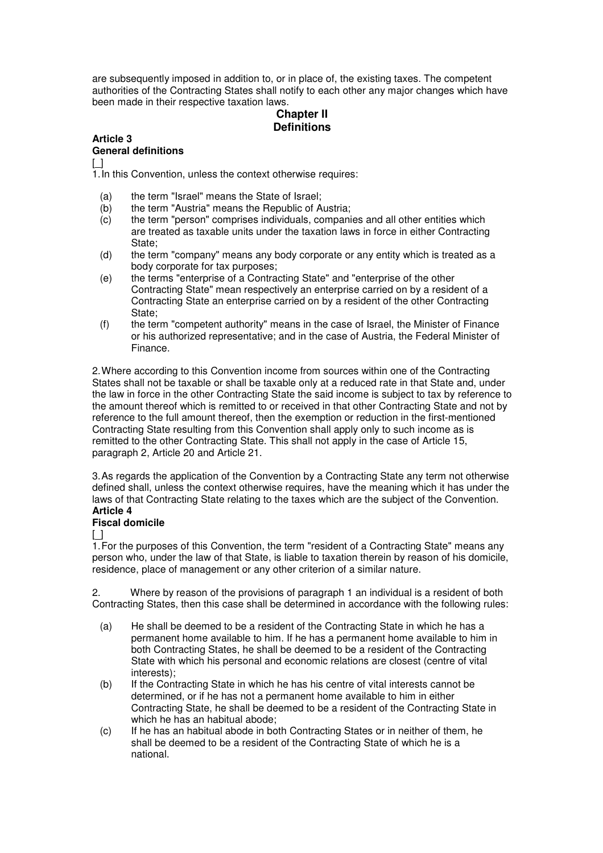are subsequently imposed in addition to, or in place of, the existing taxes. The competent authorities of the Contracting States shall notify to each other any major changes which have been made in their respective taxation laws.

# **Chapter II Definitions**

## **Article 3 General definitions**

 $\Box$ 1.In this Convention, unless the context otherwise requires:

- (a) the term "Israel" means the State of Israel;
- (b) the term "Austria" means the Republic of Austria;
- (c) the term "person" comprises individuals, companies and all other entities which are treated as taxable units under the taxation laws in force in either Contracting State;
- (d) the term "company" means any body corporate or any entity which is treated as a body corporate for tax purposes;
- (e) the terms "enterprise of a Contracting State" and "enterprise of the other Contracting State" mean respectively an enterprise carried on by a resident of a Contracting State an enterprise carried on by a resident of the other Contracting State;
- (f) the term "competent authority" means in the case of Israel, the Minister of Finance or his authorized representative; and in the case of Austria, the Federal Minister of Finance.

2.Where according to this Convention income from sources within one of the Contracting States shall not be taxable or shall be taxable only at a reduced rate in that State and, under the law in force in the other Contracting State the said income is subject to tax by reference to the amount thereof which is remitted to or received in that other Contracting State and not by reference to the full amount thereof, then the exemption or reduction in the first-mentioned Contracting State resulting from this Convention shall apply only to such income as is remitted to the other Contracting State. This shall not apply in the case of Article 15, paragraph 2, Article 20 and Article 21.

3.As regards the application of the Convention by a Contracting State any term not otherwise defined shall, unless the context otherwise requires, have the meaning which it has under the laws of that Contracting State relating to the taxes which are the subject of the Convention. **Article 4** 

# **Fiscal domicile**

 $\Box$ 

1.For the purposes of this Convention, the term "resident of a Contracting State" means any person who, under the law of that State, is liable to taxation therein by reason of his domicile, residence, place of management or any other criterion of a similar nature.

2. Where by reason of the provisions of paragraph 1 an individual is a resident of both Contracting States, then this case shall be determined in accordance with the following rules:

- (a) He shall be deemed to be a resident of the Contracting State in which he has a permanent home available to him. If he has a permanent home available to him in both Contracting States, he shall be deemed to be a resident of the Contracting State with which his personal and economic relations are closest (centre of vital interests);
- (b) If the Contracting State in which he has his centre of vital interests cannot be determined, or if he has not a permanent home available to him in either Contracting State, he shall be deemed to be a resident of the Contracting State in which he has an habitual abode;
- (c) If he has an habitual abode in both Contracting States or in neither of them, he shall be deemed to be a resident of the Contracting State of which he is a national.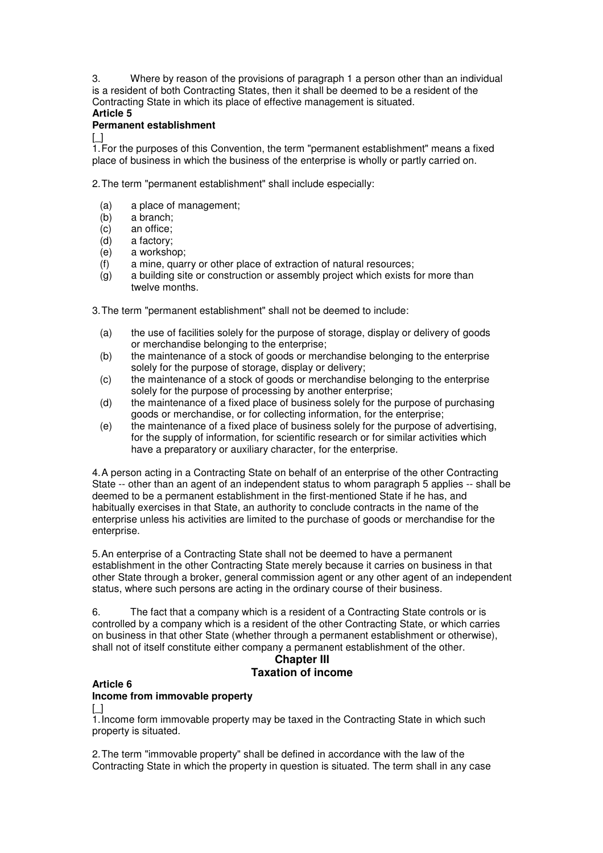3. Where by reason of the provisions of paragraph 1 a person other than an individual is a resident of both Contracting States, then it shall be deemed to be a resident of the Contracting State in which its place of effective management is situated.

#### **Article 5 Permanent establishment**

 $\Box$ 

1.For the purposes of this Convention, the term "permanent establishment" means a fixed place of business in which the business of the enterprise is wholly or partly carried on.

2.The term "permanent establishment" shall include especially:

- (a) a place of management;
- (b) a branch;
- (c) an office;
- (d) a factory;
- (e) a workshop;
- $(f)$  a mine, quarry or other place of extraction of natural resources;
- (g) a building site or construction or assembly project which exists for more than twelve months.

3.The term "permanent establishment" shall not be deemed to include:

- (a) the use of facilities solely for the purpose of storage, display or delivery of goods or merchandise belonging to the enterprise;
- (b) the maintenance of a stock of goods or merchandise belonging to the enterprise solely for the purpose of storage, display or delivery;
- (c) the maintenance of a stock of goods or merchandise belonging to the enterprise solely for the purpose of processing by another enterprise;
- (d) the maintenance of a fixed place of business solely for the purpose of purchasing goods or merchandise, or for collecting information, for the enterprise;
- (e) the maintenance of a fixed place of business solely for the purpose of advertising, for the supply of information, for scientific research or for similar activities which have a preparatory or auxiliary character, for the enterprise.

4.A person acting in a Contracting State on behalf of an enterprise of the other Contracting State -- other than an agent of an independent status to whom paragraph 5 applies -- shall be deemed to be a permanent establishment in the first-mentioned State if he has, and habitually exercises in that State, an authority to conclude contracts in the name of the enterprise unless his activities are limited to the purchase of goods or merchandise for the enterprise.

5.An enterprise of a Contracting State shall not be deemed to have a permanent establishment in the other Contracting State merely because it carries on business in that other State through a broker, general commission agent or any other agent of an independent status, where such persons are acting in the ordinary course of their business.

6. The fact that a company which is a resident of a Contracting State controls or is controlled by a company which is a resident of the other Contracting State, or which carries on business in that other State (whether through a permanent establishment or otherwise), shall not of itself constitute either company a permanent establishment of the other.

## **Chapter III Taxation of income**

### **Article 6**

# **Income from immovable property**

 $\Box$ 

1.Income form immovable property may be taxed in the Contracting State in which such property is situated.

2.The term "immovable property" shall be defined in accordance with the law of the Contracting State in which the property in question is situated. The term shall in any case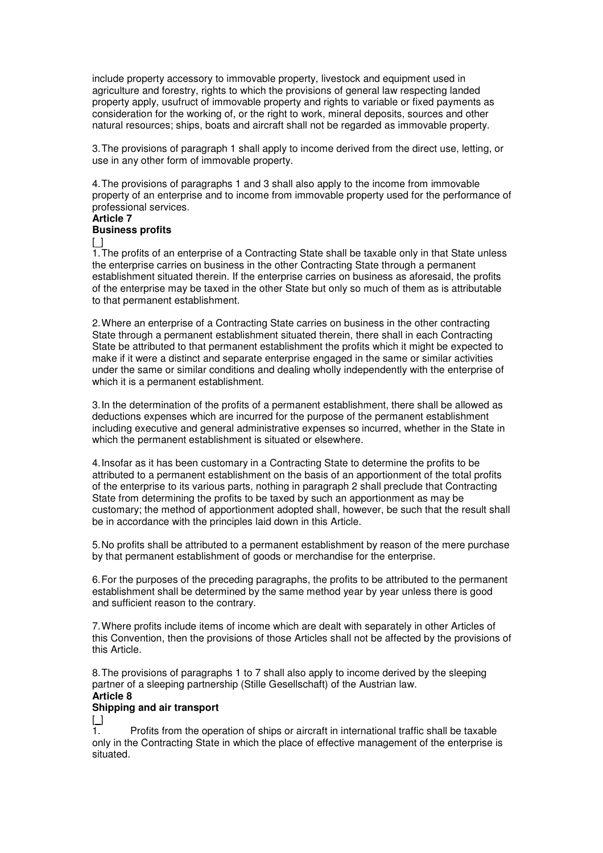include property accessory to immovable property, livestock and equipment used in agriculture and forestry, rights to which the provisions of general law respecting landed property apply, usufruct of immovable property and rights to variable or fixed payments as consideration for the working of, or the right to work, mineral deposits, sources and other natural resources; ships, boats and aircraft shall not be regarded as immovable property.

3.The provisions of paragraph 1 shall apply to income derived from the direct use, letting, or use in any other form of immovable property.

4.The provisions of paragraphs 1 and 3 shall also apply to the income from immovable property of an enterprise and to income from immovable property used for the performance of professional services.

### **Article 7 Business profits**

[ ]

1.The profits of an enterprise of a Contracting State shall be taxable only in that State unless the enterprise carries on business in the other Contracting State through a permanent establishment situated therein. If the enterprise carries on business as aforesaid, the profits of the enterprise may be taxed in the other State but only so much of them as is attributable to that permanent establishment.

2.Where an enterprise of a Contracting State carries on business in the other contracting State through a permanent establishment situated therein, there shall in each Contracting State be attributed to that permanent establishment the profits which it might be expected to make if it were a distinct and separate enterprise engaged in the same or similar activities under the same or similar conditions and dealing wholly independently with the enterprise of which it is a permanent establishment.

3.In the determination of the profits of a permanent establishment, there shall be allowed as deductions expenses which are incurred for the purpose of the permanent establishment including executive and general administrative expenses so incurred, whether in the State in which the permanent establishment is situated or elsewhere.

4.Insofar as it has been customary in a Contracting State to determine the profits to be attributed to a permanent establishment on the basis of an apportionment of the total profits of the enterprise to its various parts, nothing in paragraph 2 shall preclude that Contracting State from determining the profits to be taxed by such an apportionment as may be customary; the method of apportionment adopted shall, however, be such that the result shall be in accordance with the principles laid down in this Article.

5.No profits shall be attributed to a permanent establishment by reason of the mere purchase by that permanent establishment of goods or merchandise for the enterprise.

6.For the purposes of the preceding paragraphs, the profits to be attributed to the permanent establishment shall be determined by the same method year by year unless there is good and sufficient reason to the contrary.

7.Where profits include items of income which are dealt with separately in other Articles of this Convention, then the provisions of those Articles shall not be affected by the provisions of this Article.

8.The provisions of paragraphs 1 to 7 shall also apply to income derived by the sleeping partner of a sleeping partnership (Stille Gesellschaft) of the Austrian law.

# **Article 8**

## **Shipping and air transport**

 $\Box$ 

1. Profits from the operation of ships or aircraft in international traffic shall be taxable only in the Contracting State in which the place of effective management of the enterprise is situated.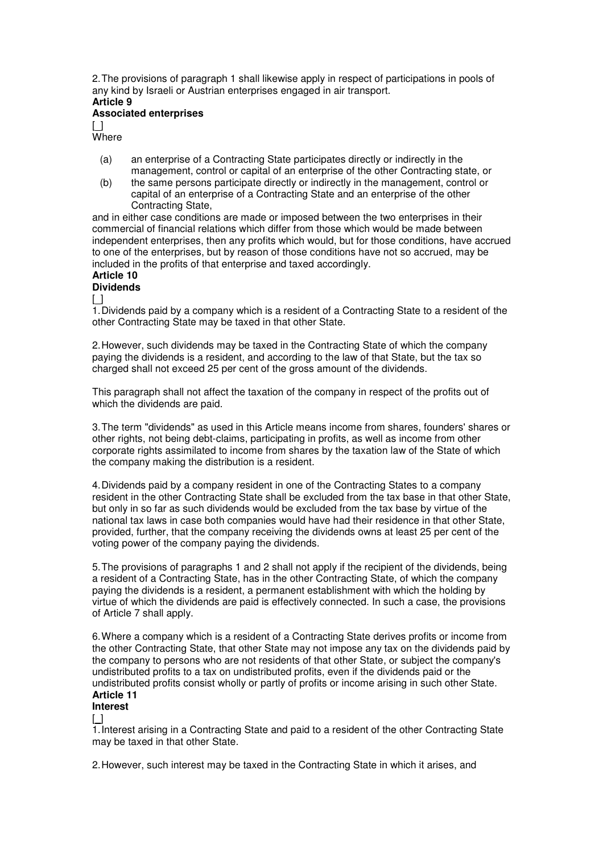2.The provisions of paragraph 1 shall likewise apply in respect of participations in pools of any kind by Israeli or Austrian enterprises engaged in air transport. **Article 9** 

## **Associated enterprises**

 $\Box$ 

**Where** 

- (a) an enterprise of a Contracting State participates directly or indirectly in the management, control or capital of an enterprise of the other Contracting state, or
- (b) the same persons participate directly or indirectly in the management, control or capital of an enterprise of a Contracting State and an enterprise of the other Contracting State,

and in either case conditions are made or imposed between the two enterprises in their commercial of financial relations which differ from those which would be made between independent enterprises, then any profits which would, but for those conditions, have accrued to one of the enterprises, but by reason of those conditions have not so accrued, may be included in the profits of that enterprise and taxed accordingly.

# **Article 10**

## **Dividends**

 $\lceil$   $\rceil$ 

1.Dividends paid by a company which is a resident of a Contracting State to a resident of the other Contracting State may be taxed in that other State.

2.However, such dividends may be taxed in the Contracting State of which the company paying the dividends is a resident, and according to the law of that State, but the tax so charged shall not exceed 25 per cent of the gross amount of the dividends.

This paragraph shall not affect the taxation of the company in respect of the profits out of which the dividends are paid.

3.The term "dividends" as used in this Article means income from shares, founders' shares or other rights, not being debt-claims, participating in profits, as well as income from other corporate rights assimilated to income from shares by the taxation law of the State of which the company making the distribution is a resident.

4.Dividends paid by a company resident in one of the Contracting States to a company resident in the other Contracting State shall be excluded from the tax base in that other State, but only in so far as such dividends would be excluded from the tax base by virtue of the national tax laws in case both companies would have had their residence in that other State, provided, further, that the company receiving the dividends owns at least 25 per cent of the voting power of the company paying the dividends.

5.The provisions of paragraphs 1 and 2 shall not apply if the recipient of the dividends, being a resident of a Contracting State, has in the other Contracting State, of which the company paying the dividends is a resident, a permanent establishment with which the holding by virtue of which the dividends are paid is effectively connected. In such a case, the provisions of Article 7 shall apply.

6.Where a company which is a resident of a Contracting State derives profits or income from the other Contracting State, that other State may not impose any tax on the dividends paid by the company to persons who are not residents of that other State, or subject the company's undistributed profits to a tax on undistributed profits, even if the dividends paid or the undistributed profits consist wholly or partly of profits or income arising in such other State. **Article 11** 

## **Interest**

 $\lceil$   $\rceil$ 

1.Interest arising in a Contracting State and paid to a resident of the other Contracting State may be taxed in that other State.

2.However, such interest may be taxed in the Contracting State in which it arises, and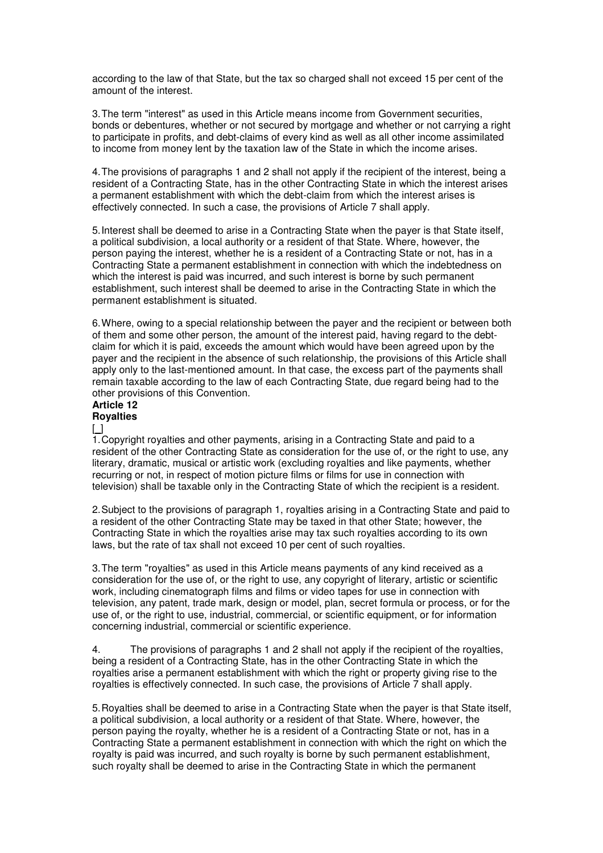according to the law of that State, but the tax so charged shall not exceed 15 per cent of the amount of the interest.

3.The term "interest" as used in this Article means income from Government securities, bonds or debentures, whether or not secured by mortgage and whether or not carrying a right to participate in profits, and debt-claims of every kind as well as all other income assimilated to income from money lent by the taxation law of the State in which the income arises.

4.The provisions of paragraphs 1 and 2 shall not apply if the recipient of the interest, being a resident of a Contracting State, has in the other Contracting State in which the interest arises a permanent establishment with which the debt-claim from which the interest arises is effectively connected. In such a case, the provisions of Article 7 shall apply.

5.Interest shall be deemed to arise in a Contracting State when the payer is that State itself, a political subdivision, a local authority or a resident of that State. Where, however, the person paying the interest, whether he is a resident of a Contracting State or not, has in a Contracting State a permanent establishment in connection with which the indebtedness on which the interest is paid was incurred, and such interest is borne by such permanent establishment, such interest shall be deemed to arise in the Contracting State in which the permanent establishment is situated.

6.Where, owing to a special relationship between the payer and the recipient or between both of them and some other person, the amount of the interest paid, having regard to the debtclaim for which it is paid, exceeds the amount which would have been agreed upon by the payer and the recipient in the absence of such relationship, the provisions of this Article shall apply only to the last-mentioned amount. In that case, the excess part of the payments shall remain taxable according to the law of each Contracting State, due regard being had to the other provisions of this Convention.

# **Article 12 Royalties**

#### $\lceil$   $\rceil$

1.Copyright royalties and other payments, arising in a Contracting State and paid to a resident of the other Contracting State as consideration for the use of, or the right to use, any literary, dramatic, musical or artistic work (excluding royalties and like payments, whether recurring or not, in respect of motion picture films or films for use in connection with television) shall be taxable only in the Contracting State of which the recipient is a resident.

2.Subject to the provisions of paragraph 1, royalties arising in a Contracting State and paid to a resident of the other Contracting State may be taxed in that other State; however, the Contracting State in which the royalties arise may tax such royalties according to its own laws, but the rate of tax shall not exceed 10 per cent of such royalties.

3.The term "royalties" as used in this Article means payments of any kind received as a consideration for the use of, or the right to use, any copyright of literary, artistic or scientific work, including cinematograph films and films or video tapes for use in connection with television, any patent, trade mark, design or model, plan, secret formula or process, or for the use of, or the right to use, industrial, commercial, or scientific equipment, or for information concerning industrial, commercial or scientific experience.

4. The provisions of paragraphs 1 and 2 shall not apply if the recipient of the royalties, being a resident of a Contracting State, has in the other Contracting State in which the royalties arise a permanent establishment with which the right or property giving rise to the royalties is effectively connected. In such case, the provisions of Article 7 shall apply.

5.Royalties shall be deemed to arise in a Contracting State when the payer is that State itself, a political subdivision, a local authority or a resident of that State. Where, however, the person paying the royalty, whether he is a resident of a Contracting State or not, has in a Contracting State a permanent establishment in connection with which the right on which the royalty is paid was incurred, and such royalty is borne by such permanent establishment, such royalty shall be deemed to arise in the Contracting State in which the permanent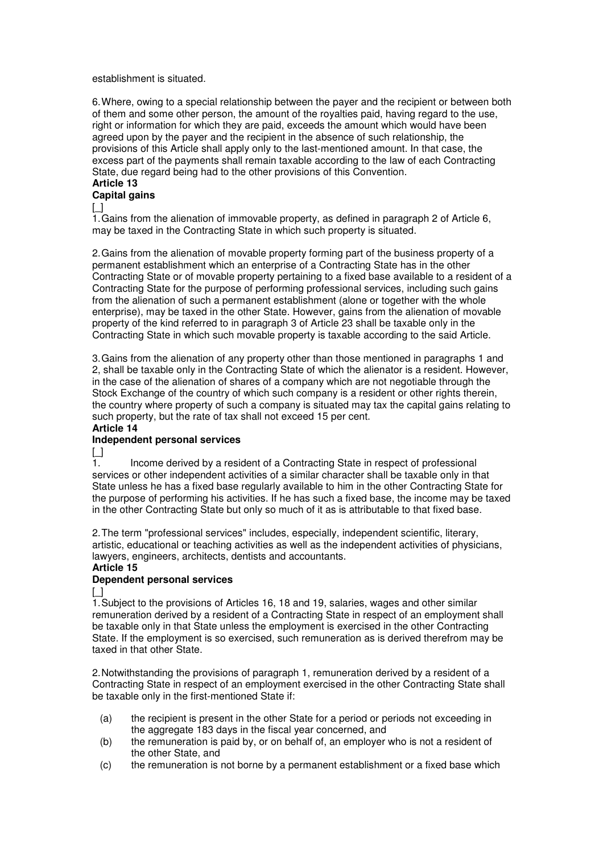### establishment is situated.

6.Where, owing to a special relationship between the payer and the recipient or between both of them and some other person, the amount of the royalties paid, having regard to the use, right or information for which they are paid, exceeds the amount which would have been agreed upon by the payer and the recipient in the absence of such relationship, the provisions of this Article shall apply only to the last-mentioned amount. In that case, the excess part of the payments shall remain taxable according to the law of each Contracting State, due regard being had to the other provisions of this Convention. **Article 13** 

# **Capital gains**

[ ]

1.Gains from the alienation of immovable property, as defined in paragraph 2 of Article 6, may be taxed in the Contracting State in which such property is situated.

2.Gains from the alienation of movable property forming part of the business property of a permanent establishment which an enterprise of a Contracting State has in the other Contracting State or of movable property pertaining to a fixed base available to a resident of a Contracting State for the purpose of performing professional services, including such gains from the alienation of such a permanent establishment (alone or together with the whole enterprise), may be taxed in the other State. However, gains from the alienation of movable property of the kind referred to in paragraph 3 of Article 23 shall be taxable only in the Contracting State in which such movable property is taxable according to the said Article.

3.Gains from the alienation of any property other than those mentioned in paragraphs 1 and 2, shall be taxable only in the Contracting State of which the alienator is a resident. However, in the case of the alienation of shares of a company which are not negotiable through the Stock Exchange of the country of which such company is a resident or other rights therein, the country where property of such a company is situated may tax the capital gains relating to such property, but the rate of tax shall not exceed 15 per cent. **Article 14** 

### **Independent personal services**

 $\Box$ 

1. Income derived by a resident of a Contracting State in respect of professional services or other independent activities of a similar character shall be taxable only in that State unless he has a fixed base regularly available to him in the other Contracting State for the purpose of performing his activities. If he has such a fixed base, the income may be taxed in the other Contracting State but only so much of it as is attributable to that fixed base.

2.The term "professional services" includes, especially, independent scientific, literary, artistic, educational or teaching activities as well as the independent activities of physicians, lawyers, engineers, architects, dentists and accountants. **Article 15** 

### **Dependent personal services**

[ ]

1.Subject to the provisions of Articles 16, 18 and 19, salaries, wages and other similar remuneration derived by a resident of a Contracting State in respect of an employment shall be taxable only in that State unless the employment is exercised in the other Contracting State. If the employment is so exercised, such remuneration as is derived therefrom may be taxed in that other State.

2.Notwithstanding the provisions of paragraph 1, remuneration derived by a resident of a Contracting State in respect of an employment exercised in the other Contracting State shall be taxable only in the first-mentioned State if:

- (a) the recipient is present in the other State for a period or periods not exceeding in the aggregate 183 days in the fiscal year concerned, and
- (b) the remuneration is paid by, or on behalf of, an employer who is not a resident of the other State, and
- (c) the remuneration is not borne by a permanent establishment or a fixed base which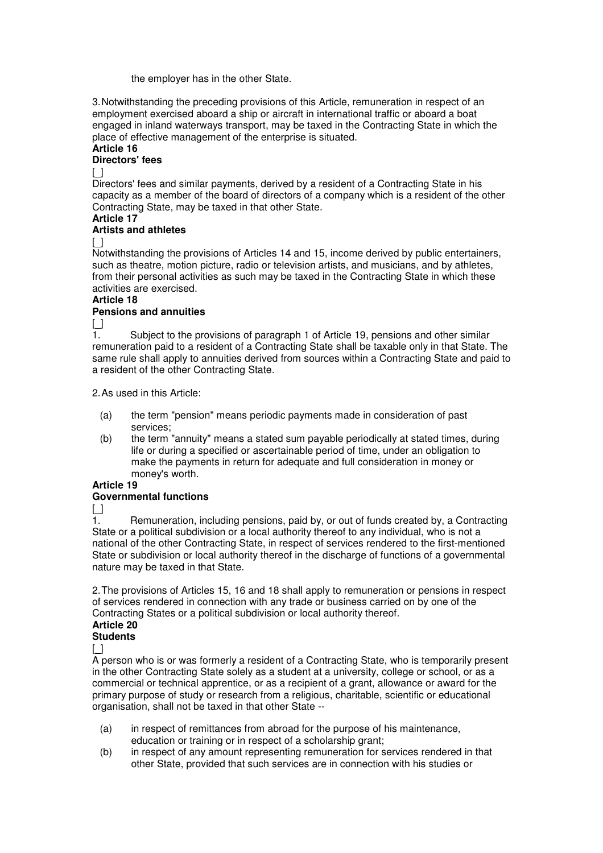the employer has in the other State.

3.Notwithstanding the preceding provisions of this Article, remuneration in respect of an employment exercised aboard a ship or aircraft in international traffic or aboard a boat engaged in inland waterways transport, may be taxed in the Contracting State in which the place of effective management of the enterprise is situated.

# **Article 16**

# **Directors' fees**

[ ]

Directors' fees and similar payments, derived by a resident of a Contracting State in his capacity as a member of the board of directors of a company which is a resident of the other Contracting State, may be taxed in that other State.

#### **Article 17 Artists and athletes**

# [ ]

Notwithstanding the provisions of Articles 14 and 15, income derived by public entertainers, such as theatre, motion picture, radio or television artists, and musicians, and by athletes, from their personal activities as such may be taxed in the Contracting State in which these activities are exercised.

### **Article 18**

### **Pensions and annuities**   $\lceil$   $\rceil$

1. Subject to the provisions of paragraph 1 of Article 19, pensions and other similar remuneration paid to a resident of a Contracting State shall be taxable only in that State. The same rule shall apply to annuities derived from sources within a Contracting State and paid to a resident of the other Contracting State.

2.As used in this Article:

- (a) the term "pension" means periodic payments made in consideration of past services;
- (b) the term "annuity" means a stated sum payable periodically at stated times, during life or during a specified or ascertainable period of time, under an obligation to make the payments in return for adequate and full consideration in money or money's worth.

## **Article 19**

### **Governmental functions**

1. Remuneration, including pensions, paid by, or out of funds created by, a Contracting State or a political subdivision or a local authority thereof to any individual, who is not a national of the other Contracting State, in respect of services rendered to the first-mentioned State or subdivision or local authority thereof in the discharge of functions of a governmental nature may be taxed in that State.

2.The provisions of Articles 15, 16 and 18 shall apply to remuneration or pensions in respect of services rendered in connection with any trade or business carried on by one of the Contracting States or a political subdivision or local authority thereof.

# **Article 20**

**Students** 

 $\lceil \ \rfloor$ 

A person who is or was formerly a resident of a Contracting State, who is temporarily present in the other Contracting State solely as a student at a university, college or school, or as a commercial or technical apprentice, or as a recipient of a grant, allowance or award for the primary purpose of study or research from a religious, charitable, scientific or educational organisation, shall not be taxed in that other State --

- (a) in respect of remittances from abroad for the purpose of his maintenance, education or training or in respect of a scholarship grant;
- (b) in respect of any amount representing remuneration for services rendered in that other State, provided that such services are in connection with his studies or

 $\lceil$   $\rceil$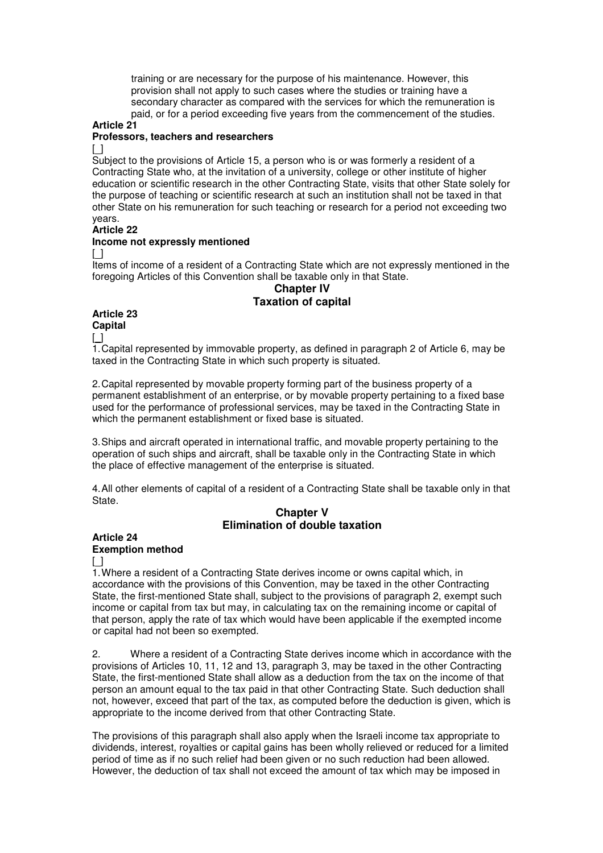training or are necessary for the purpose of his maintenance. However, this provision shall not apply to such cases where the studies or training have a secondary character as compared with the services for which the remuneration is paid, or for a period exceeding five years from the commencement of the studies.

**Article 21** 

## **Professors, teachers and researchers**

[ ]

Subject to the provisions of Article 15, a person who is or was formerly a resident of a Contracting State who, at the invitation of a university, college or other institute of higher education or scientific research in the other Contracting State, visits that other State solely for the purpose of teaching or scientific research at such an institution shall not be taxed in that other State on his remuneration for such teaching or research for a period not exceeding two years.

### **Article 22**

### **Income not expressly mentioned**

 $\lceil$   $\rceil$ 

Items of income of a resident of a Contracting State which are not expressly mentioned in the foregoing Articles of this Convention shall be taxable only in that State.

## **Chapter IV Taxation of capital**

### **Article 23 Capital**

 $\Box$ 

1.Capital represented by immovable property, as defined in paragraph 2 of Article 6, may be taxed in the Contracting State in which such property is situated.

2.Capital represented by movable property forming part of the business property of a permanent establishment of an enterprise, or by movable property pertaining to a fixed base used for the performance of professional services, may be taxed in the Contracting State in which the permanent establishment or fixed base is situated.

3.Ships and aircraft operated in international traffic, and movable property pertaining to the operation of such ships and aircraft, shall be taxable only in the Contracting State in which the place of effective management of the enterprise is situated.

4.All other elements of capital of a resident of a Contracting State shall be taxable only in that State.

## **Chapter V Elimination of double taxation**

## **Article 24 Exemption method**

 $\lceil$   $\rceil$ 

1.Where a resident of a Contracting State derives income or owns capital which, in accordance with the provisions of this Convention, may be taxed in the other Contracting State, the first-mentioned State shall, subject to the provisions of paragraph 2, exempt such income or capital from tax but may, in calculating tax on the remaining income or capital of that person, apply the rate of tax which would have been applicable if the exempted income or capital had not been so exempted.

2. Where a resident of a Contracting State derives income which in accordance with the provisions of Articles 10, 11, 12 and 13, paragraph 3, may be taxed in the other Contracting State, the first-mentioned State shall allow as a deduction from the tax on the income of that person an amount equal to the tax paid in that other Contracting State. Such deduction shall not, however, exceed that part of the tax, as computed before the deduction is given, which is appropriate to the income derived from that other Contracting State.

The provisions of this paragraph shall also apply when the Israeli income tax appropriate to dividends, interest, royalties or capital gains has been wholly relieved or reduced for a limited period of time as if no such relief had been given or no such reduction had been allowed. However, the deduction of tax shall not exceed the amount of tax which may be imposed in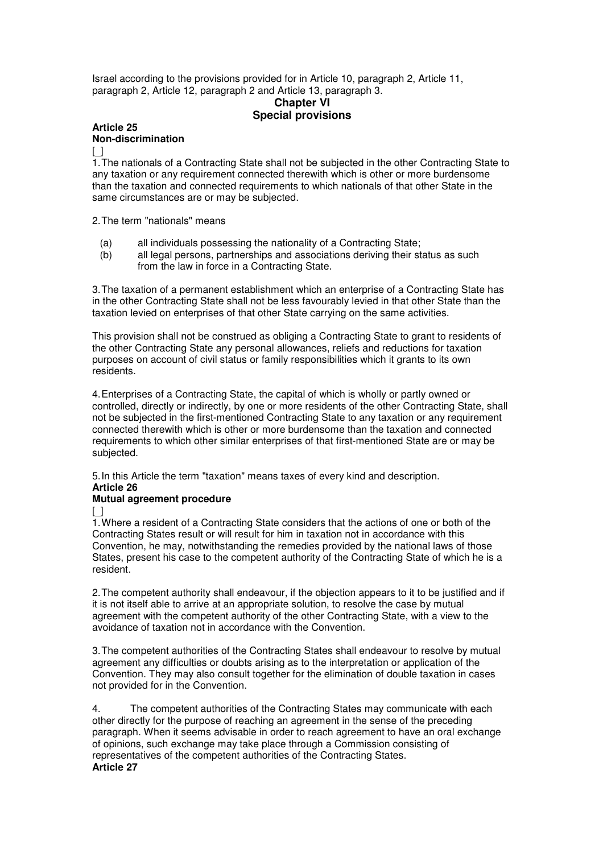Israel according to the provisions provided for in Article 10, paragraph 2, Article 11, paragraph 2, Article 12, paragraph 2 and Article 13, paragraph 3.

## **Chapter VI Special provisions**

#### **Article 25 Non-discrimination**   $\lceil$   $\rceil$

1.The nationals of a Contracting State shall not be subjected in the other Contracting State to any taxation or any requirement connected therewith which is other or more burdensome than the taxation and connected requirements to which nationals of that other State in the same circumstances are or may be subjected.

2.The term "nationals" means

- (a) all individuals possessing the nationality of a Contracting State;
- (b) all legal persons, partnerships and associations deriving their status as such from the law in force in a Contracting State.

3.The taxation of a permanent establishment which an enterprise of a Contracting State has in the other Contracting State shall not be less favourably levied in that other State than the taxation levied on enterprises of that other State carrying on the same activities.

This provision shall not be construed as obliging a Contracting State to grant to residents of the other Contracting State any personal allowances, reliefs and reductions for taxation purposes on account of civil status or family responsibilities which it grants to its own residents.

4.Enterprises of a Contracting State, the capital of which is wholly or partly owned or controlled, directly or indirectly, by one or more residents of the other Contracting State, shall not be subjected in the first-mentioned Contracting State to any taxation or any requirement connected therewith which is other or more burdensome than the taxation and connected requirements to which other similar enterprises of that first-mentioned State are or may be subjected.

5.In this Article the term "taxation" means taxes of every kind and description. **Article 26** 

### **Mutual agreement procedure**

 $\Box$ 

1.Where a resident of a Contracting State considers that the actions of one or both of the Contracting States result or will result for him in taxation not in accordance with this Convention, he may, notwithstanding the remedies provided by the national laws of those States, present his case to the competent authority of the Contracting State of which he is a resident.

2.The competent authority shall endeavour, if the objection appears to it to be justified and if it is not itself able to arrive at an appropriate solution, to resolve the case by mutual agreement with the competent authority of the other Contracting State, with a view to the avoidance of taxation not in accordance with the Convention.

3.The competent authorities of the Contracting States shall endeavour to resolve by mutual agreement any difficulties or doubts arising as to the interpretation or application of the Convention. They may also consult together for the elimination of double taxation in cases not provided for in the Convention.

4. The competent authorities of the Contracting States may communicate with each other directly for the purpose of reaching an agreement in the sense of the preceding paragraph. When it seems advisable in order to reach agreement to have an oral exchange of opinions, such exchange may take place through a Commission consisting of representatives of the competent authorities of the Contracting States. **Article 27**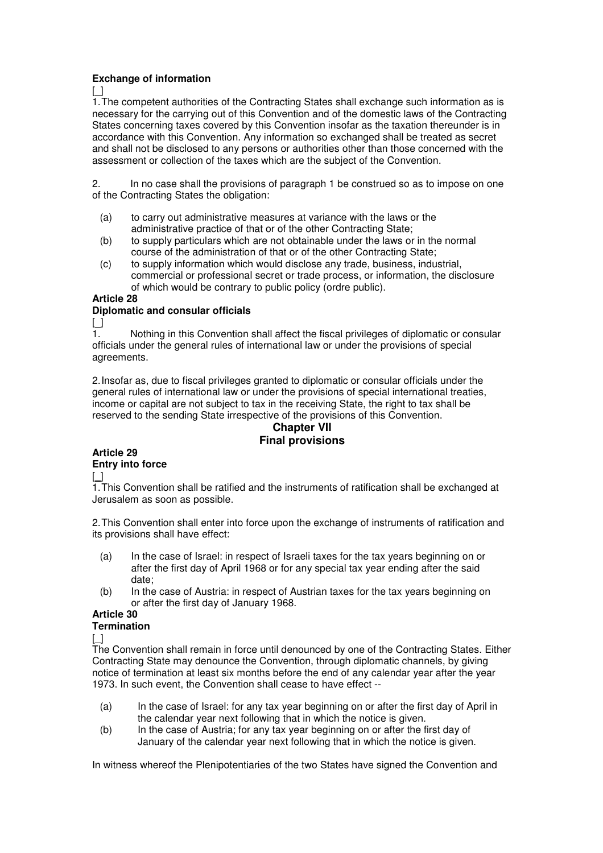# **Exchange of information**

 $\Box$ 1.The competent authorities of the Contracting States shall exchange such information as is necessary for the carrying out of this Convention and of the domestic laws of the Contracting States concerning taxes covered by this Convention insofar as the taxation thereunder is in accordance with this Convention. Any information so exchanged shall be treated as secret and shall not be disclosed to any persons or authorities other than those concerned with the assessment or collection of the taxes which are the subject of the Convention.

2. In no case shall the provisions of paragraph 1 be construed so as to impose on one of the Contracting States the obligation:

- (a) to carry out administrative measures at variance with the laws or the administrative practice of that or of the other Contracting State;
- (b) to supply particulars which are not obtainable under the laws or in the normal course of the administration of that or of the other Contracting State;
- (c) to supply information which would disclose any trade, business, industrial, commercial or professional secret or trade process, or information, the disclosure of which would be contrary to public policy (ordre public).

## **Article 28**

# **Diplomatic and consular officials**

 $\Box$ 1. Nothing in this Convention shall affect the fiscal privileges of diplomatic or consular officials under the general rules of international law or under the provisions of special agreements.

2.Insofar as, due to fiscal privileges granted to diplomatic or consular officials under the general rules of international law or under the provisions of special international treaties, income or capital are not subject to tax in the receiving State, the right to tax shall be reserved to the sending State irrespective of the provisions of this Convention.

### **Chapter VII Final provisions**

### **Article 29 Entry into force**

[ ]

1.This Convention shall be ratified and the instruments of ratification shall be exchanged at Jerusalem as soon as possible.

2.This Convention shall enter into force upon the exchange of instruments of ratification and its provisions shall have effect:

- (a) In the case of Israel: in respect of Israeli taxes for the tax years beginning on or after the first day of April 1968 or for any special tax year ending after the said date;
- (b) In the case of Austria: in respect of Austrian taxes for the tax years beginning on or after the first day of January 1968.

#### **Article 30 Termination**

 $\Box$ 

The Convention shall remain in force until denounced by one of the Contracting States. Either Contracting State may denounce the Convention, through diplomatic channels, by giving notice of termination at least six months before the end of any calendar year after the year 1973. In such event, the Convention shall cease to have effect --

- (a) In the case of Israel: for any tax year beginning on or after the first day of April in the calendar year next following that in which the notice is given.
- (b) In the case of Austria; for any tax year beginning on or after the first day of January of the calendar year next following that in which the notice is given.

In witness whereof the Plenipotentiaries of the two States have signed the Convention and